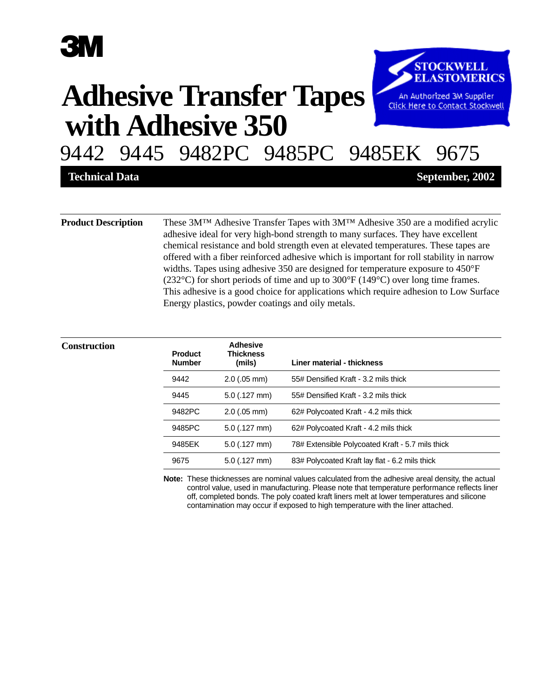# **3M**

# **with Adhesive 350 Adhesive Transfer Tapes**



9442 9445 9482PC 9485PC 9485EK 9675

**Technical Data September, 2002**

**Product Description** These 3M™ Adhesive Transfer Tapes with 3M™ Adhesive 350 are a modified acrylic adhesive ideal for very high-bond strength to many surfaces. They have excellent chemical resistance and bold strength even at elevated temperatures. These tapes are offered with a fiber reinforced adhesive which is important for roll stability in narrow widths. Tapes using adhesive 350 are designed for temperature exposure to 450°F (232°C) for short periods of time and up to 300°F (149°C) over long time frames. This adhesive is a good choice for applications which require adhesion to Low Surface Energy plastics, powder coatings and oily metals.

| <b>Construction</b> | <b>Product</b><br><b>Number</b> | <b>Adhesive</b><br>Thickness<br>(mils) | Liner material - thickness                       |
|---------------------|---------------------------------|----------------------------------------|--------------------------------------------------|
|                     | 9442                            | $2.0$ (.05 mm)                         | 55# Densified Kraft - 3.2 mils thick             |
|                     | 9445                            | $5.0$ (.127 mm)                        | 55# Densified Kraft - 3.2 mils thick             |
|                     | 9482PC                          | $2.0$ (.05 mm)                         | 62# Polycoated Kraft - 4.2 mils thick            |
|                     | 9485PC                          | $5.0$ (.127 mm)                        | 62# Polycoated Kraft - 4.2 mils thick            |
|                     | 9485EK                          | $5.0$ (.127 mm)                        | 78# Extensible Polycoated Kraft - 5.7 mils thick |
|                     | 9675                            | $5.0$ (.127 mm)                        | 83# Polycoated Kraft lay flat - 6.2 mils thick   |

**Note:** These thicknesses are nominal values calculated from the adhesive areal density, the actual control value, used in manufacturing. Please note that temperature performance reflects liner off, completed bonds. The poly coated kraft liners melt at lower temperatures and silicone contamination may occur if exposed to high temperature with the liner attached.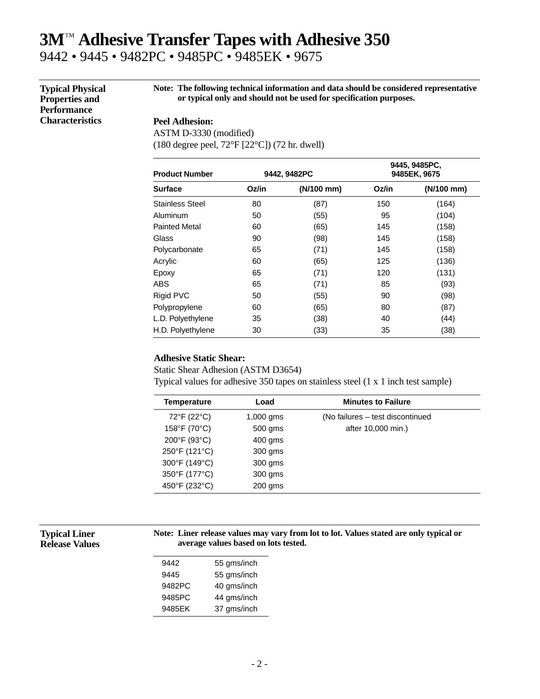## **3M**TM **Adhesive Transfer Tapes with Adhesive 350** 9442 • 9445 • 9482PC • 9485PC • 9485EK • 9675

**Typical Physical Properties and Performance Characteristics**

**Note: The following technical information and data should be considered representative or typical only and should not be used for specification purposes.**

## **Peel Adhesion:**

ASTM D-3330 (modified) (180 degree peel, 72°F [22°C]) (72 hr. dwell)

| <b>Product Number</b>  | 9442, 9482PC |            | 9445, 9485PC,<br>9485EK, 9675 |            |
|------------------------|--------------|------------|-------------------------------|------------|
| <b>Surface</b>         | Oz/in        | (N/100 mm) | Oz/in                         | (N/100 mm) |
| <b>Stainless Steel</b> | 80           | (87)       | 150                           | (164)      |
| Aluminum               | 50           | (55)       | 95                            | (104)      |
| <b>Painted Metal</b>   | 60           | (65)       | 145                           | (158)      |
| Glass                  | 90           | (98)       | 145                           | (158)      |
| Polycarbonate          | 65           | (71)       | 145                           | (158)      |
| Acrylic                | 60           | (65)       | 125                           | (136)      |
| Epoxy                  | 65           | (71)       | 120                           | (131)      |
| ABS                    | 65           | (71)       | 85                            | (93)       |
| Rigid PVC              | 50           | (55)       | 90                            | (98)       |
| Polypropylene          | 60           | (65)       | 80                            | (87)       |
| L.D. Polyethylene      | 35           | (38)       | 40                            | (44)       |
| H.D. Polyethylene      | 30           | (33)       | 35                            | (38)       |

### **Adhesive Static Shear:**

Static Shear Adhesion (ASTM D3654) Typical values for adhesive 350 tapes on stainless steel (1 x 1 inch test sample)

| <b>Temperature</b> | Load        | <b>Minutes to Failure</b>        |  |
|--------------------|-------------|----------------------------------|--|
| 72°F (22°C)        | $1,000$ gms | (No failures – test discontinued |  |
| 158°F (70°C)       | 500 gms     | after 10,000 min.)               |  |
| 200°F (93°C)       | $400$ gms   |                                  |  |
| 250°F (121°C)      | 300 gms     |                                  |  |
| 300°F (149°C)      | 300 gms     |                                  |  |
| 350°F (177°C)      | 300 gms     |                                  |  |
| 450°F (232°C)      | $200$ gms   |                                  |  |
|                    |             |                                  |  |

**Typical Liner Release Values**

### **Note: Liner release values may vary from lot to lot. Values stated are only typical or average values based on lots tested.**

| 9442   | 55 gms/inch |
|--------|-------------|
| 9445   | 55 gms/inch |
| 9482PC | 40 gms/inch |
| 9485PC | 44 gms/inch |
| 9485EK | 37 gms/inch |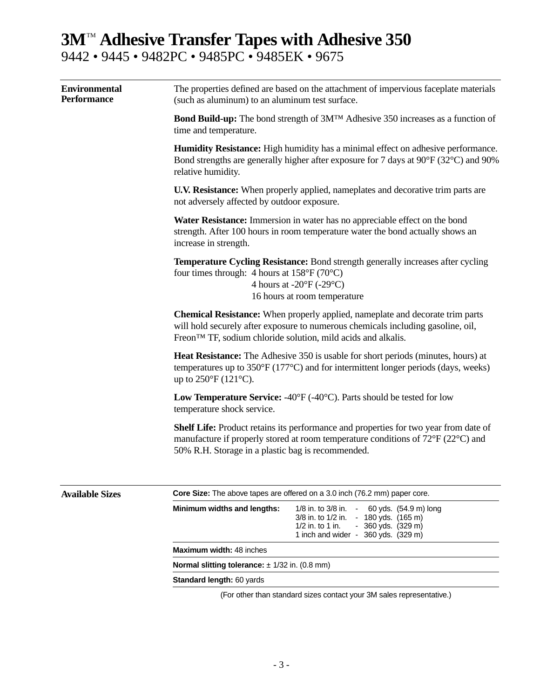# **3M**TM **Adhesive Transfer Tapes with Adhesive 350** 9442 • 9445 • 9482PC • 9485PC • 9485EK • 9675

| <b>Environmental</b><br><b>Performance</b> | The properties defined are based on the attachment of impervious faceplate materials<br>(such as aluminum) to an aluminum test surface.                                                                                                                                                                                                                                                                                                                                                                                           |                                                                                                                                                   |  |  |  |                                                                                                                                                                                                                                                                                                                                                                                                                                                                                   |  |  |  |
|--------------------------------------------|-----------------------------------------------------------------------------------------------------------------------------------------------------------------------------------------------------------------------------------------------------------------------------------------------------------------------------------------------------------------------------------------------------------------------------------------------------------------------------------------------------------------------------------|---------------------------------------------------------------------------------------------------------------------------------------------------|--|--|--|-----------------------------------------------------------------------------------------------------------------------------------------------------------------------------------------------------------------------------------------------------------------------------------------------------------------------------------------------------------------------------------------------------------------------------------------------------------------------------------|--|--|--|
|                                            | <b>Bond Build-up:</b> The bond strength of 3M <sup>TM</sup> Adhesive 350 increases as a function of<br>time and temperature.                                                                                                                                                                                                                                                                                                                                                                                                      |                                                                                                                                                   |  |  |  |                                                                                                                                                                                                                                                                                                                                                                                                                                                                                   |  |  |  |
|                                            | <b>Humidity Resistance:</b> High humidity has a minimal effect on adhesive performance.<br>Bond strengths are generally higher after exposure for 7 days at 90°F (32°C) and 90%<br>relative humidity.<br>U.V. Resistance: When properly applied, nameplates and decorative trim parts are<br>not adversely affected by outdoor exposure.<br>Water Resistance: Immersion in water has no appreciable effect on the bond<br>strength. After 100 hours in room temperature water the bond actually shows an<br>increase in strength. |                                                                                                                                                   |  |  |  |                                                                                                                                                                                                                                                                                                                                                                                                                                                                                   |  |  |  |
|                                            |                                                                                                                                                                                                                                                                                                                                                                                                                                                                                                                                   |                                                                                                                                                   |  |  |  | <b>Temperature Cycling Resistance:</b> Bond strength generally increases after cycling<br>four times through: 4 hours at $158^{\circ}F(70^{\circ}C)$<br>4 hours at $-20^{\circ}F(-29^{\circ}C)$<br>16 hours at room temperature                                                                                                                                                                                                                                                   |  |  |  |
|                                            |                                                                                                                                                                                                                                                                                                                                                                                                                                                                                                                                   |                                                                                                                                                   |  |  |  | <b>Chemical Resistance:</b> When properly applied, nameplate and decorate trim parts<br>will hold securely after exposure to numerous chemicals including gasoline, oil,<br>Freon™ TF, sodium chloride solution, mild acids and alkalis.<br><b>Heat Resistance:</b> The Adhesive 350 is usable for short periods (minutes, hours) at<br>temperatures up to $350^{\circ}F(177^{\circ}C)$ and for intermittent longer periods (days, weeks)<br>up to $250^{\circ}F(121^{\circ}C)$ . |  |  |  |
|                                            | <b>Low Temperature Service:</b> -40 $^{\circ}$ F (-40 $^{\circ}$ C). Parts should be tested for low<br>temperature shock service.                                                                                                                                                                                                                                                                                                                                                                                                 |                                                                                                                                                   |  |  |  |                                                                                                                                                                                                                                                                                                                                                                                                                                                                                   |  |  |  |
|                                            | <b>Shelf Life:</b> Product retains its performance and properties for two year from date of<br>manufacture if properly stored at room temperature conditions of 72°F (22°C) and<br>50% R.H. Storage in a plastic bag is recommended.                                                                                                                                                                                                                                                                                              |                                                                                                                                                   |  |  |  |                                                                                                                                                                                                                                                                                                                                                                                                                                                                                   |  |  |  |
|                                            | <b>Available Sizes</b>                                                                                                                                                                                                                                                                                                                                                                                                                                                                                                            | <b>Core Size:</b> The above tapes are offered on a 3.0 inch (76.2 mm) paper core.                                                                 |  |  |  |                                                                                                                                                                                                                                                                                                                                                                                                                                                                                   |  |  |  |
|                                            |                                                                                                                                                                                                                                                                                                                                                                                                                                                                                                                                   | Minimum widths and lengths:<br>1/8 in. to 3/8 in.<br>60 yds. (54.9 m) long                                                                        |  |  |  |                                                                                                                                                                                                                                                                                                                                                                                                                                                                                   |  |  |  |
|                                            |                                                                                                                                                                                                                                                                                                                                                                                                                                                                                                                                   | $-180$ yds. $(165 \text{ m})$<br>3/8 in. to 1/2 in.<br>$1/2$ in. to 1 in.<br>$-360$ yds. $(329 \text{ m})$<br>1 inch and wider - 360 yds. (329 m) |  |  |  |                                                                                                                                                                                                                                                                                                                                                                                                                                                                                   |  |  |  |
| Maximum width: 48 inches                   |                                                                                                                                                                                                                                                                                                                                                                                                                                                                                                                                   |                                                                                                                                                   |  |  |  |                                                                                                                                                                                                                                                                                                                                                                                                                                                                                   |  |  |  |

**Normal slitting tolerance:**  $\pm$  1/32 in. (0.8 mm)

**Standard length:** 60 yards

(For other than standard sizes contact your 3M sales representative.)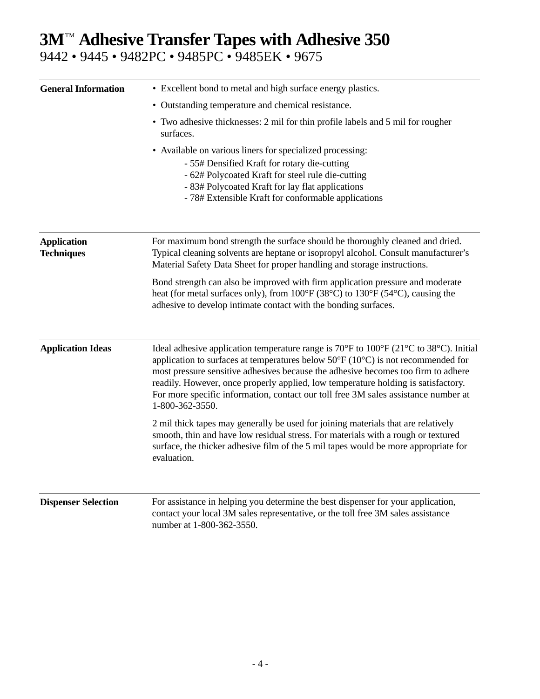# **3M™ Adhesive Transfer Tapes with Adhesive 350** 9442 • 9445 • 9482PC • 9485PC • 9485EK • 9675

| <b>General Information</b>              | • Excellent bond to metal and high surface energy plastics.                                                                                                                                                                                                                                                                                                                                                                                                                       |
|-----------------------------------------|-----------------------------------------------------------------------------------------------------------------------------------------------------------------------------------------------------------------------------------------------------------------------------------------------------------------------------------------------------------------------------------------------------------------------------------------------------------------------------------|
|                                         | • Outstanding temperature and chemical resistance.                                                                                                                                                                                                                                                                                                                                                                                                                                |
|                                         | • Two adhesive thicknesses: 2 mil for thin profile labels and 5 mil for rougher<br>surfaces.                                                                                                                                                                                                                                                                                                                                                                                      |
|                                         | • Available on various liners for specialized processing:<br>- 55# Densified Kraft for rotary die-cutting<br>- 62# Polycoated Kraft for steel rule die-cutting<br>- 83# Polycoated Kraft for lay flat applications<br>- 78# Extensible Kraft for conformable applications                                                                                                                                                                                                         |
| <b>Application</b><br><b>Techniques</b> | For maximum bond strength the surface should be thoroughly cleaned and dried.<br>Typical cleaning solvents are heptane or isopropyl alcohol. Consult manufacturer's<br>Material Safety Data Sheet for proper handling and storage instructions.                                                                                                                                                                                                                                   |
|                                         | Bond strength can also be improved with firm application pressure and moderate<br>heat (for metal surfaces only), from 100°F (38°C) to 130°F (54°C), causing the<br>adhesive to develop intimate contact with the bonding surfaces.                                                                                                                                                                                                                                               |
| <b>Application Ideas</b>                | Ideal adhesive application temperature range is 70°F to 100°F (21°C to 38°C). Initial<br>application to surfaces at temperatures below $50^{\circ}$ F ( $10^{\circ}$ C) is not recommended for<br>most pressure sensitive adhesives because the adhesive becomes too firm to adhere<br>readily. However, once properly applied, low temperature holding is satisfactory.<br>For more specific information, contact our toll free 3M sales assistance number at<br>1-800-362-3550. |
|                                         | 2 mil thick tapes may generally be used for joining materials that are relatively<br>smooth, thin and have low residual stress. For materials with a rough or textured<br>surface, the thicker adhesive film of the 5 mil tapes would be more appropriate for<br>evaluation.                                                                                                                                                                                                      |
| <b>Dispenser Selection</b>              | For assistance in helping you determine the best dispenser for your application,<br>contact your local 3M sales representative, or the toll free 3M sales assistance<br>number at 1-800-362-3550.                                                                                                                                                                                                                                                                                 |